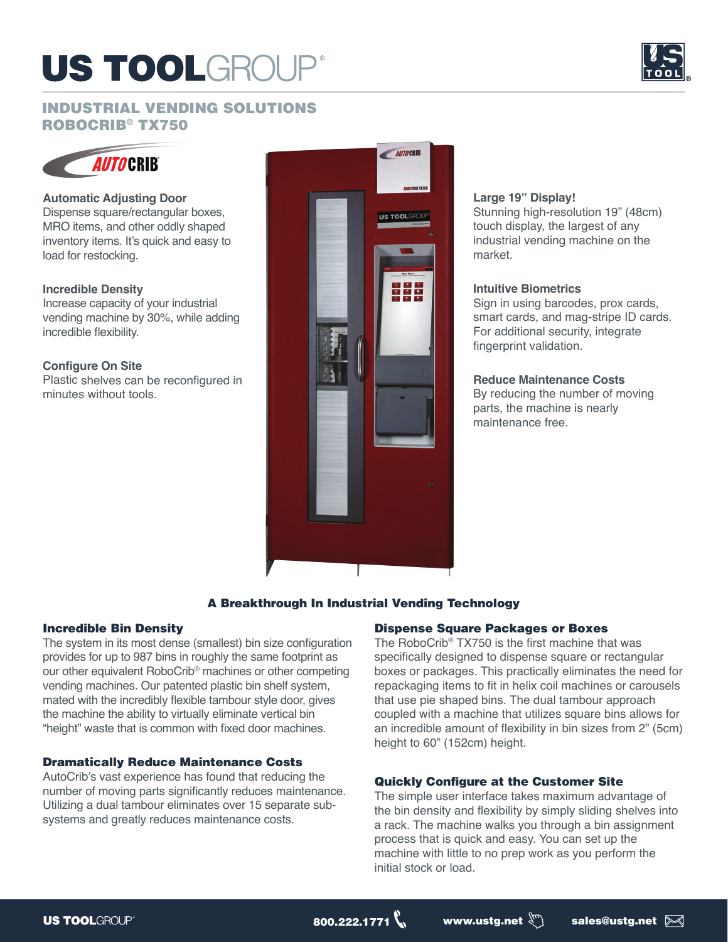## US TOOLGROU



### INDUSTRIAL VENDING SOLUTIONS ROBOCRIB® TX750



#### **Automatic Adjusting Door**

Dispense square/rectangular boxes, MRO items, and other oddly shaped inventory items. It's quick and easy to load for restocking.

#### **Incredible Density**

Increase capacity of your industrial vending machine by 30%, while adding incredible flexibility.

#### **Configure On Site**

Plastic shelves can be reconfigured in minutes without tools.



#### **Large 19" Display!**

Stunning high-resolution 19" (48cm) touch display, the largest of any industrial vending machine on the market.

### **Intuitive Biometrics**

Sign in using barcodes, prox cards, smart cards, and mag-stripe ID cards. For additional security, integrate fingerprint validation.

#### **Reduce Maintenance Costs**

By reducing the number of moving parts, the machine is nearly maintenance free.

#### A Breakthrough In Industrial Vending Technology

#### Incredible Bin Density

The system in its most dense (smallest) bin size configuration provides for up to 987 bins in roughly the same footprint as our other equivalent RoboCrib® machines or other competing vending machines. Our patented plastic bin shelf system, mated with the incredibly flexible tambour style door, gives the machine the ability to virtually eliminate vertical bin "height" waste that is common with fixed door machines.

#### Dramatically Reduce Maintenance Costs

AutoCrib's vast experience has found that reducing the number of moving parts significantly reduces maintenance. Utilizing a dual tambour eliminates over 15 separate subsystems and greatly reduces maintenance costs.

#### Dispense Square Packages or Boxes

The RoboCrib® TX750 is the first machine that was specifically designed to dispense square or rectangular boxes or packages. This practically eliminates the need for repackaging items to fit in helix coil machines or carousels that use pie shaped bins. The dual tambour approach coupled with a machine that utilizes square bins allows for an incredible amount of flexibility in bin sizes from 2" (5cm) height to 60" (152cm) height.

#### Quickly Configure at the Customer Site

The simple user interface takes maximum advantage of the bin density and flexibility by simply sliding shelves into a rack. The machine walks you through a bin assignment process that is quick and easy. You can set up the machine with little to no prep work as you perform the initial stock or load.

 $\begin{picture}(180,180)(0,0) \put(0,0){\line(1,0){15}} \put(1,0){\line(1,0){15}} \put(1,0){\line(1,0){15}} \put(1,0){\line(1,0){15}} \put(1,0){\line(1,0){15}} \put(1,0){\line(1,0){15}} \put(1,0){\line(1,0){15}} \put(1,0){\line(1,0){15}} \put(1,0){\line(1,0){15}} \put(1,0){\line(1,0){15}} \put(1,0){\line(1,0){15}} \put(1,0){\line(1,0){15$